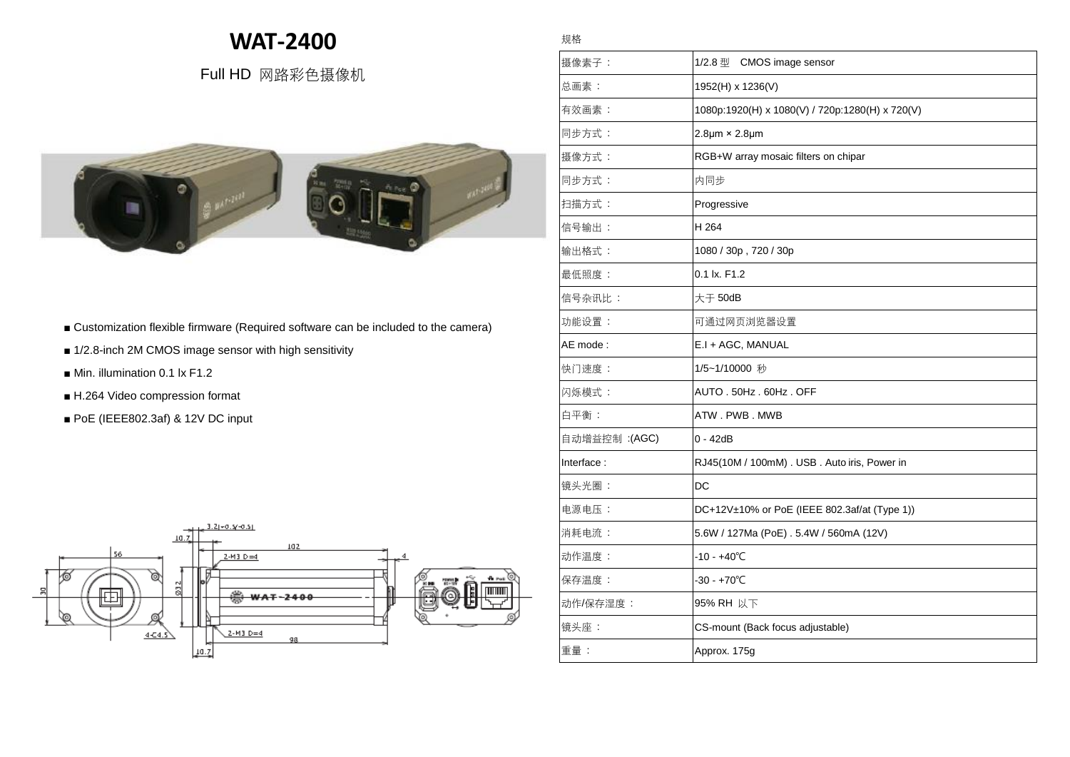## **WAT-2400**

規格

## Full HD 网路彩色摄像机



- Customization flexible firmware (Required software can be included to the camera)
- 1/2.8-inch 2M CMOS image sensor with high sensitivity
- Min. illumination 0.1 lx F1.2
- H.264 Video compression format
- PoE (IEEE802.3af) & 12V DC input



## **B** 摄像素子: 1/2.8 型 CMOS image sensor |总画素: |1952(H) x 1236(V) 有效畫素 : 1080p:1920(H) x 1080(V) / 720p:1280(H) x 720(V) 同步方式 : 2.8μm × 2.8μm |摄像方式 : RGB+W array mosaic filters on chipar 同步方式 : 内同步 扫描方式 : Progressive 信号输出 : H 264 輸出格式 : 1080 / 30p , 720 / 30p 最低照度 : 0.1 lx. F1.2 信号杂讯比 : 大于 50dB 功能设置 : 可通过网页浏览器设置 AE mode :  $\vert$ E.I + AGC, MANUAL 快门速度 : 1/5~1/10000 秒 |闪烁模式 : **AUTO . 50Hz . 60Hz . OFF**  $\Box$ 白平衡 :  $\Box$  ATW . PWB . MWB 自動增益控制 :(AGC) 0 - 42dB Interface : <br>
RJ45(10M / 100mM) . USB . Auto iris, Power in 镜头光圈 : DC 電源電壓 : DC+12V±10% or PoE (IEEE 802.3af/at (Type 1)) 消耗電流 : 5.6W / 127Ma (PoE) . 5.4W / 560mA (12V) 動作溫度 : -10 - +40℃ |保存温度 : +70℃ 動作/保存濕度 : 95% RH 以下 镜头座: CS-mount (Back focus adjustable) 重量 : Approx. 175g